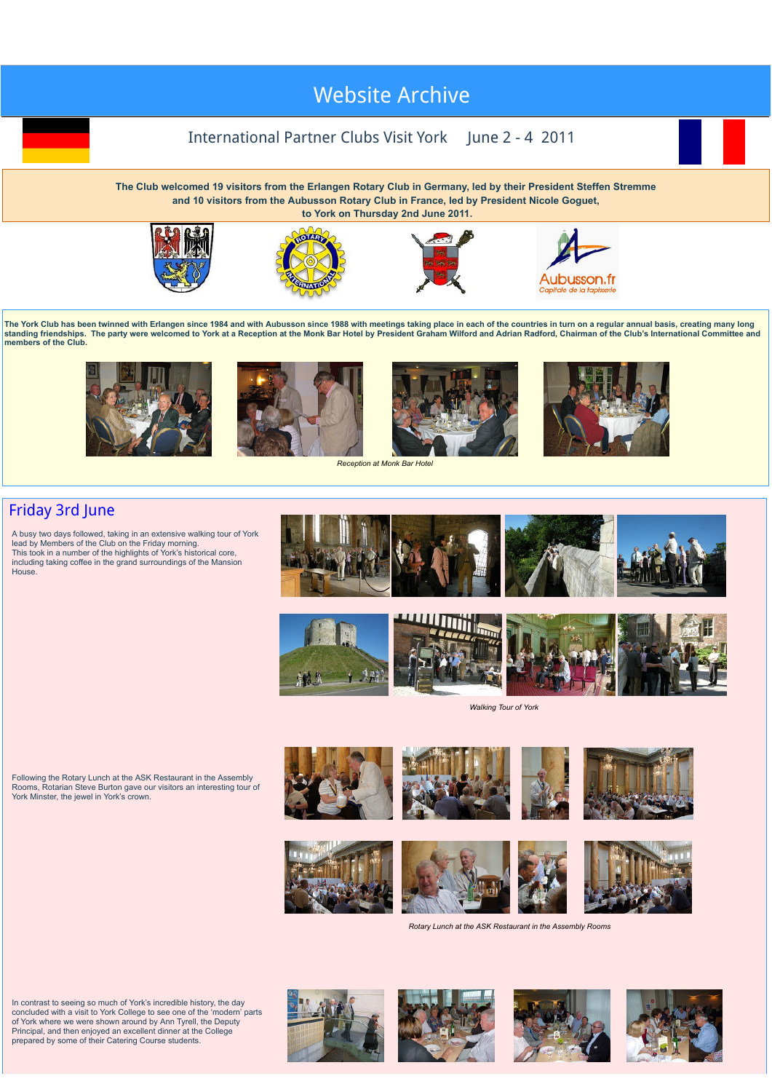## we are also to  $\mathcal{L}$  $\mathbf{v}$  victosite May 2016 visit to [Clermont-Ferrand](http://newyorkrotary.moonfruit.com/international-visit-may-2016/4592358869?preview=Y) May [2018](http://newyorkrotary.moonfruit.com/international-visit-may-2018/4594307849?preview=Y) visit to York [Website](http://newyorkrotary.moonfruit.com/international-visit-june-2015/4589862853?preview=Y) Arc[hive](http://newyorkrotary.moonfruit.com/international-visit-may-2013/4552333483?preview=Y)

## International Partner Clubs Visit York June 2 - 4 2011

**The Club welcomed 19 visitors from the Erlangen Rotary Club in Germany, led by their President Steffen Stremme and 10 visitors from the Aubusson Rotary Club in France, led by President Nicole Goguet, to York on Thursday 2nd June 2011.**



















*Reception at Monk Bar Hotel*



## Friday 3rd June

A busy two days followed, taking in an extensive walking tour of York lead by Members of the Club on the Friday morning. This took in a number of the highlights of York's historical core, including taking coffee in the grand surroundings of the Mansion House.







*Walking Tour of York*













*Rotary Lunch at the ASK Restaurant in the Assembly Rooms*

In contrast to seeing so much of York's incredible history, the day concluded with a visit to York College to see one of the 'modern' parts of York where we were shown around by Ann Tyrell, the Deputy Principal, and then enjoyed an excellent dinner at the College prepared by some of their Catering Course students.